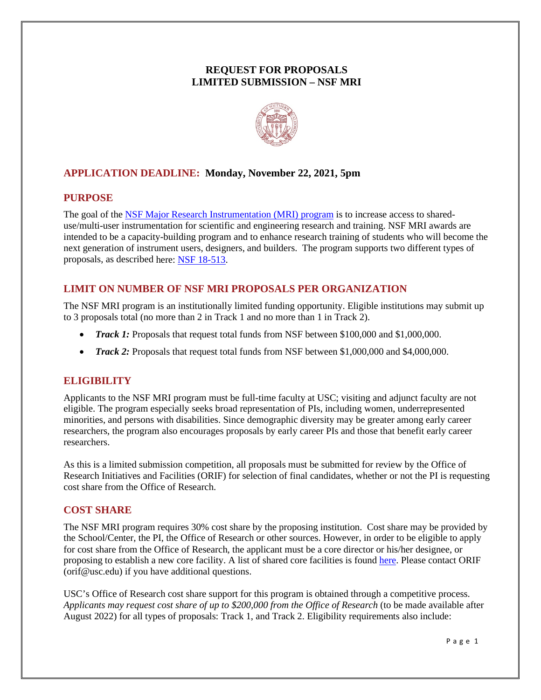# **REQUEST FOR PROPOSALS LIMITED SUBMISSION – NSF MRI**



# **APPLICATION DEADLINE: Monday, November 22, 2021, 5pm**

## **PURPOSE**

The goal of the [NSF Major Research Instrumentation \(MRI\) program](https://www.nsf.gov/pubs/2018/nsf18513/nsf18513.htm) is to increase access to shareduse/multi-user instrumentation for scientific and engineering research and training. NSF MRI awards are intended to be a capacity-building program and to enhance research training of students who will become the next generation of instrument users, designers, and builders. The program supports two different types of proposals, as described here: [NSF 18-513.](https://www.nsf.gov/pubs/2018/nsf18513/nsf18513.htm)

# **LIMIT ON NUMBER OF NSF MRI PROPOSALS PER ORGANIZATION**

The NSF MRI program is an institutionally limited funding opportunity. Eligible institutions may submit up to 3 proposals total (no more than 2 in Track 1 and no more than 1 in Track 2).

- *Track 1:* Proposals that request total funds from NSF between \$100,000 and \$1,000,000.
- *Track 2*: Proposals that request total funds from NSF between \$1,000,000 and \$4,000,000.

## **ELIGIBILITY**

Applicants to the NSF MRI program must be full-time faculty at USC; visiting and adjunct faculty are not eligible. The program especially seeks broad representation of PIs, including women, underrepresented minorities, and persons with disabilities. Since demographic diversity may be greater among early career researchers, the program also encourages proposals by early career PIs and those that benefit early career researchers.

As this is a limited submission competition, all proposals must be submitted for review by the Office of Research Initiatives and Facilities (ORIF) for selection of final candidates, whether or not the PI is requesting cost share from the Office of Research.

## **COST SHARE**

The NSF MRI program requires 30% cost share by the proposing institution. Cost share may be provided by the School/Center, the PI, the Office of Research or other sources. However, in order to be eligible to apply for cost share from the Office of Research, the applicant must be a core director or his/her designee, or proposing to establish a new core facility. A list of shared core facilities is found [here.](https://orif.usc.edu/shared-resources/) Please contact ORIF (orif@usc.edu) if you have additional questions.

USC's Office of Research cost share support for this program is obtained through a competitive process. *Applicants may request cost share of up to \$200,000 from the Office of Research* (to be made available after August 2022) for all types of proposals: Track 1, and Track 2. Eligibility requirements also include: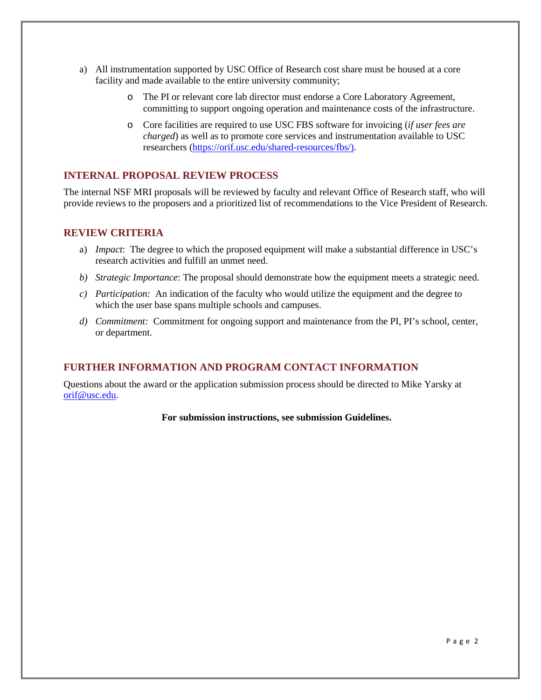- a) All instrumentation supported by USC Office of Research cost share must be housed at a core facility and made available to the entire university community;
	- o The PI or relevant core lab director must endorse a Core Laboratory Agreement, committing to support ongoing operation and maintenance costs of the infrastructure.
	- o Core facilities are required to use USC FBS software for invoicing (*if user fees are charged*) as well as to promote core services and instrumentation available to USC researchers [\(https://orif.usc.edu/shared-resources/fbs/\)](https://orif.usc.edu/shared-resources/fbs/).

## **INTERNAL PROPOSAL REVIEW PROCESS**

The internal NSF MRI proposals will be reviewed by faculty and relevant Office of Research staff, who will provide reviews to the proposers and a prioritized list of recommendations to the Vice President of Research.

### **REVIEW CRITERIA**

- a) *Impact*: The degree to which the proposed equipment will make a substantial difference in USC's research activities and fulfill an unmet need.
- *b) Strategic Importance*: The proposal should demonstrate how the equipment meets a strategic need.
- *c) Participation:* An indication of the faculty who would utilize the equipment and the degree to which the user base spans multiple schools and campuses.
- *d) Commitment:* Commitment for ongoing support and maintenance from the PI, PI's school, center, or department.

## **FURTHER INFORMATION AND PROGRAM CONTACT INFORMATION**

Questions about the award or the application submission process should be directed to Mike Yarsky at [orif@usc.edu.](mailto:orif@usc.edu)

### **For submission instructions, see submission Guidelines.**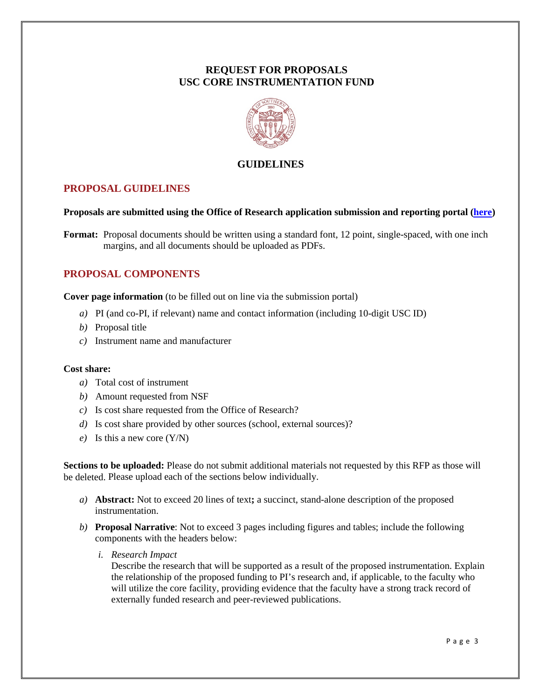# **REQUEST FOR PROPOSALS USC CORE INSTRUMENTATION FUND**



## **GUIDELINES**

## **PROPOSAL GUIDELINES**

#### **Proposals are submitted using the Office of Research application submission and reporting portal [\(here\)](https://orif.usc.edu/oor-portal/)**

**Format:** Proposal documents should be written using a standard font, 12 point, single-spaced, with one inch margins, and all documents should be uploaded as PDFs.

# **PROPOSAL COMPONENTS**

**Cover page information** (to be filled out on line via the submission portal)

- *a)* PI (and co-PI, if relevant) name and contact information (including 10-digit USC ID)
- *b)* Proposal title
- *c)* Instrument name and manufacturer

#### **Cost share:**

- *a)* Total cost of instrument
- *b)* Amount requested from NSF
- *c)* Is cost share requested from the Office of Research?
- *d)* Is cost share provided by other sources (school, external sources)?
- *e)* Is this a new core (Y/N)

**Sections to be uploaded:** Please do not submit additional materials not requested by this RFP as those will be deleted. Please upload each of the sections below individually.

- *a)* **Abstract:** Not to exceed 20 lines of text**;** a succinct, stand-alone description of the proposed instrumentation.
- *b)* **Proposal Narrative**: Not to exceed 3 pages including figures and tables; include the following components with the headers below:
	- *i. Research Impact*

Describe the research that will be supported as a result of the proposed instrumentation. Explain the relationship of the proposed funding to PI's research and, if applicable, to the faculty who will utilize the core facility, providing evidence that the faculty have a strong track record of externally funded research and peer-reviewed publications.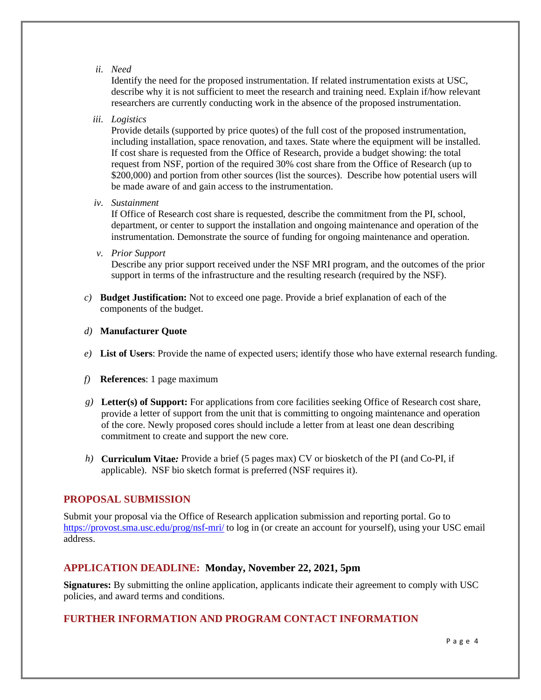*ii. Need*

Identify the need for the proposed instrumentation. If related instrumentation exists at USC, describe why it is not sufficient to meet the research and training need. Explain if/how relevant researchers are currently conducting work in the absence of the proposed instrumentation.

*iii. Logistics*

Provide details (supported by price quotes) of the full cost of the proposed instrumentation, including installation, space renovation, and taxes. State where the equipment will be installed. If cost share is requested from the Office of Research, provide a budget showing: the total request from NSF, portion of the required 30% cost share from the Office of Research (up to \$200,000) and portion from other sources (list the sources). Describe how potential users will be made aware of and gain access to the instrumentation.

*iv. Sustainment*

If Office of Research cost share is requested, describe the commitment from the PI, school, department, or center to support the installation and ongoing maintenance and operation of the instrumentation. Demonstrate the source of funding for ongoing maintenance and operation.

*v. Prior Support*

Describe any prior support received under the NSF MRI program, and the outcomes of the prior support in terms of the infrastructure and the resulting research (required by the NSF).

*c)* **Budget Justification:** Not to exceed one page. Provide a brief explanation of each of the components of the budget.

#### *d)* **Manufacturer Quote**

- *e)* **List of Users**: Provide the name of expected users; identify those who have external research funding.
- *f)* **References**: 1 page maximum
- *g)* **Letter(s) of Support:** For applications from core facilities seeking Office of Research cost share, provide a letter of support from the unit that is committing to ongoing maintenance and operation of the core. Newly proposed cores should include a letter from at least one dean describing commitment to create and support the new core.
- *h)* **Curriculum Vitae***:* Provide a brief (5 pages max) CV or biosketch of the PI (and Co-PI, if applicable). NSF bio sketch format is preferred (NSF requires it).

### **PROPOSAL SUBMISSION**

Submit your proposal via the Office of Research application submission and reporting portal. Go to <https://provost.sma.usc.edu/prog/nsf-mri/> to log in (or create an account for yourself), using your USC email address.

### **APPLICATION DEADLINE: Monday, November 22, 2021, 5pm**

**Signatures:** By submitting the online application, applicants indicate their agreement to comply with USC policies, and award terms and conditions.

## **FURTHER INFORMATION AND PROGRAM CONTACT INFORMATION**